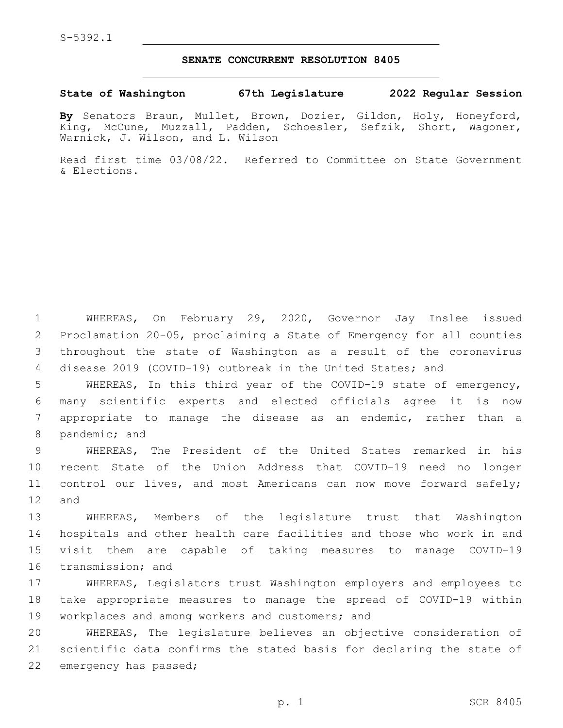## **SENATE CONCURRENT RESOLUTION 8405**

## **State of Washington 67th Legislature 2022 Regular Session**

**By** Senators Braun, Mullet, Brown, Dozier, Gildon, Holy, Honeyford, King, McCune, Muzzall, Padden, Schoesler, Sefzik, Short, Wagoner, Warnick, J. Wilson, and L. Wilson

Read first time 03/08/22. Referred to Committee on State Government & Elections.

 WHEREAS, On February 29, 2020, Governor Jay Inslee issued Proclamation 20-05, proclaiming a State of Emergency for all counties throughout the state of Washington as a result of the coronavirus disease 2019 (COVID-19) outbreak in the United States; and

 WHEREAS, In this third year of the COVID-19 state of emergency, many scientific experts and elected officials agree it is now appropriate to manage the disease as an endemic, rather than a 8 pandemic; and

 WHEREAS, The President of the United States remarked in his recent State of the Union Address that COVID-19 need no longer control our lives, and most Americans can now move forward safely; 12 and

 WHEREAS, Members of the legislature trust that Washington hospitals and other health care facilities and those who work in and visit them are capable of taking measures to manage COVID-19 16 transmission; and

17 WHEREAS, Legislators trust Washington employers and employees to 18 take appropriate measures to manage the spread of COVID-19 within 19 workplaces and among workers and customers; and

20 WHEREAS, The legislature believes an objective consideration of 21 scientific data confirms the stated basis for declaring the state of 22 emergency has passed;